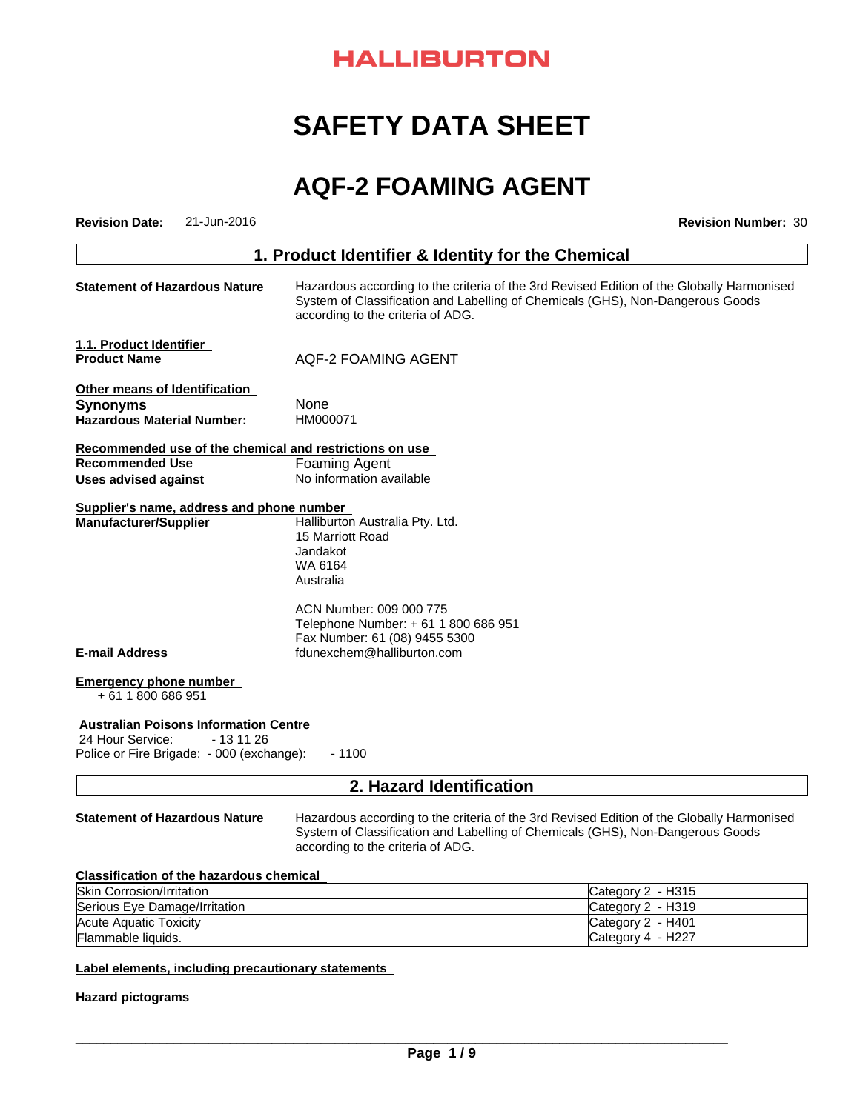# **HALLIBURTON**

# **SAFETY DATA SHEET**

# **AQF-2 FOAMING AGENT**

| 21-Jun-2016<br><b>Revision Date:</b>                                           |                                                                                                                                                                                                                  | <b>Revision Number: 30</b>                                                                                                                                                  |  |  |  |
|--------------------------------------------------------------------------------|------------------------------------------------------------------------------------------------------------------------------------------------------------------------------------------------------------------|-----------------------------------------------------------------------------------------------------------------------------------------------------------------------------|--|--|--|
|                                                                                | 1. Product Identifier & Identity for the Chemical                                                                                                                                                                |                                                                                                                                                                             |  |  |  |
| <b>Statement of Hazardous Nature</b>                                           | Hazardous according to the criteria of the 3rd Revised Edition of the Globally Harmonised<br>System of Classification and Labelling of Chemicals (GHS), Non-Dangerous Goods<br>according to the criteria of ADG. |                                                                                                                                                                             |  |  |  |
| 1.1. Product Identifier                                                        |                                                                                                                                                                                                                  |                                                                                                                                                                             |  |  |  |
| <b>Product Name</b>                                                            | AQF-2 FOAMING AGENT                                                                                                                                                                                              |                                                                                                                                                                             |  |  |  |
| Other means of Identification                                                  |                                                                                                                                                                                                                  |                                                                                                                                                                             |  |  |  |
| <b>Synonyms</b>                                                                | None                                                                                                                                                                                                             |                                                                                                                                                                             |  |  |  |
| <b>Hazardous Material Number:</b>                                              | HM000071                                                                                                                                                                                                         |                                                                                                                                                                             |  |  |  |
| Recommended use of the chemical and restrictions on use                        |                                                                                                                                                                                                                  |                                                                                                                                                                             |  |  |  |
| <b>Recommended Use</b>                                                         | <b>Foaming Agent</b>                                                                                                                                                                                             |                                                                                                                                                                             |  |  |  |
| Uses advised against                                                           | No information available                                                                                                                                                                                         |                                                                                                                                                                             |  |  |  |
| Supplier's name, address and phone number                                      |                                                                                                                                                                                                                  |                                                                                                                                                                             |  |  |  |
| <b>Manufacturer/Supplier</b>                                                   | Halliburton Australia Pty. Ltd.                                                                                                                                                                                  |                                                                                                                                                                             |  |  |  |
|                                                                                | 15 Marriott Road                                                                                                                                                                                                 |                                                                                                                                                                             |  |  |  |
|                                                                                | Jandakot<br>WA 6164                                                                                                                                                                                              |                                                                                                                                                                             |  |  |  |
|                                                                                | Australia                                                                                                                                                                                                        |                                                                                                                                                                             |  |  |  |
|                                                                                |                                                                                                                                                                                                                  |                                                                                                                                                                             |  |  |  |
|                                                                                | ACN Number: 009 000 775                                                                                                                                                                                          |                                                                                                                                                                             |  |  |  |
|                                                                                | Telephone Number: + 61 1 800 686 951                                                                                                                                                                             |                                                                                                                                                                             |  |  |  |
|                                                                                | Fax Number: 61 (08) 9455 5300                                                                                                                                                                                    |                                                                                                                                                                             |  |  |  |
| <b>E-mail Address</b>                                                          | fdunexchem@halliburton.com                                                                                                                                                                                       |                                                                                                                                                                             |  |  |  |
| <b>Emergency phone number</b><br>+61 1800 686 951                              |                                                                                                                                                                                                                  |                                                                                                                                                                             |  |  |  |
| <b>Australian Poisons Information Centre</b><br>24 Hour Service:<br>- 13 11 26 |                                                                                                                                                                                                                  |                                                                                                                                                                             |  |  |  |
| Police or Fire Brigade: - 000 (exchange):                                      | $-1100$                                                                                                                                                                                                          |                                                                                                                                                                             |  |  |  |
|                                                                                | 2. Hazard Identification                                                                                                                                                                                         |                                                                                                                                                                             |  |  |  |
| <b>Statement of Hazardous Nature</b>                                           | according to the criteria of ADG.                                                                                                                                                                                | Hazardous according to the criteria of the 3rd Revised Edition of the Globally Harmonised<br>System of Classification and Labelling of Chemicals (GHS), Non-Dangerous Goods |  |  |  |
| <b>Classification of the hazardous chemical</b>                                |                                                                                                                                                                                                                  |                                                                                                                                                                             |  |  |  |
| Skin Corrosion/Irritation                                                      |                                                                                                                                                                                                                  | Category 2 - H315                                                                                                                                                           |  |  |  |
| Serious Eye Damage/Irritation                                                  |                                                                                                                                                                                                                  | Category 2 - H319                                                                                                                                                           |  |  |  |
| <b>Acute Aquatic Toxicity</b>                                                  |                                                                                                                                                                                                                  | Category 2 - H401                                                                                                                                                           |  |  |  |
| Flammable liquids.                                                             |                                                                                                                                                                                                                  | Category 4 - H227                                                                                                                                                           |  |  |  |
|                                                                                |                                                                                                                                                                                                                  |                                                                                                                                                                             |  |  |  |
| Label elements, including precautionary statements                             |                                                                                                                                                                                                                  |                                                                                                                                                                             |  |  |  |

**Hazard pictograms**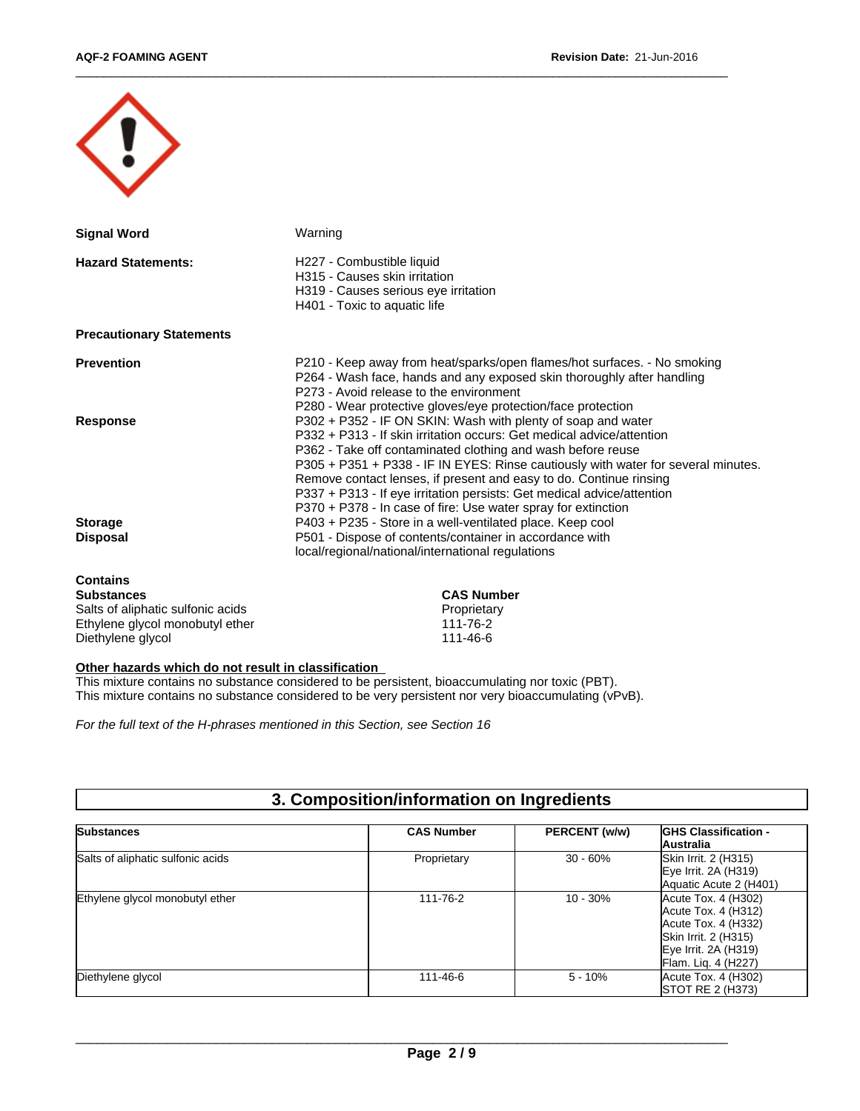| <b>Signal Word</b>                | Warning                                                                                                                                                                                                                                                                                                                                                                                                                                                                                                    |
|-----------------------------------|------------------------------------------------------------------------------------------------------------------------------------------------------------------------------------------------------------------------------------------------------------------------------------------------------------------------------------------------------------------------------------------------------------------------------------------------------------------------------------------------------------|
| <b>Hazard Statements:</b>         | H227 - Combustible liquid<br>H315 - Causes skin irritation<br>H319 - Causes serious eye irritation<br>H401 - Toxic to aquatic life                                                                                                                                                                                                                                                                                                                                                                         |
| <b>Precautionary Statements</b>   |                                                                                                                                                                                                                                                                                                                                                                                                                                                                                                            |
| <b>Prevention</b>                 | P210 - Keep away from heat/sparks/open flames/hot surfaces. - No smoking<br>P264 - Wash face, hands and any exposed skin thoroughly after handling<br>P273 - Avoid release to the environment<br>P280 - Wear protective gloves/eye protection/face protection                                                                                                                                                                                                                                              |
| <b>Response</b>                   | P302 + P352 - IF ON SKIN: Wash with plenty of soap and water<br>P332 + P313 - If skin irritation occurs: Get medical advice/attention<br>P362 - Take off contaminated clothing and wash before reuse<br>P305 + P351 + P338 - IF IN EYES: Rinse cautiously with water for several minutes.<br>Remove contact lenses, if present and easy to do. Continue rinsing<br>P337 + P313 - If eye irritation persists: Get medical advice/attention<br>P370 + P378 - In case of fire: Use water spray for extinction |
| <b>Storage</b><br><b>Disposal</b> | P403 + P235 - Store in a well-ventilated place. Keep cool<br>P501 - Dispose of contents/container in accordance with<br>local/regional/national/international regulations                                                                                                                                                                                                                                                                                                                                  |
| <b>Contains</b><br>Substances     | CAS Numher                                                                                                                                                                                                                                                                                                                                                                                                                                                                                                 |

| <b>Substances</b>                 | <b>CAS Number</b> |
|-----------------------------------|-------------------|
| Salts of aliphatic sulfonic acids | Proprietary       |
| Ethylene givcol monobutyl ether   | 111-76-2          |
| Diethylene glycol                 | 111-46-6          |

#### **Other hazards which do not result in classification**

This mixture contains no substance considered to be persistent, bioaccumulating nor toxic (PBT). This mixture contains no substance considered to be very persistent nor very bioaccumulating (vPvB).

*For the full text of the H-phrases mentioned in this Section, see Section 16*

| 3. Composition/information on Ingredients |  |
|-------------------------------------------|--|
|-------------------------------------------|--|

| <b>Substances</b>                 | <b>CAS Number</b> | PERCENT (w/w) | <b>IGHS Classification -</b><br>Australia                                                                                                |
|-----------------------------------|-------------------|---------------|------------------------------------------------------------------------------------------------------------------------------------------|
| Salts of aliphatic sulfonic acids | Proprietary       | $30 - 60%$    | Skin Irrit. 2 (H315)<br>$Eye$ Irrit. 2A (H319)<br>Aquatic Acute 2 (H401)                                                                 |
| Ethylene glycol monobutyl ether   | 111-76-2          | $10 - 30%$    | Acute Tox. 4 (H302)<br>Acute Tox. 4 (H312)<br>Acute Tox. 4 (H332)<br>Skin Irrit. 2 (H315)<br>Eye Irrit. 2A (H319)<br>Flam. Lig. 4 (H227) |
| Diethylene glycol                 | 111-46-6          | $5 - 10%$     | Acute Tox. 4 (H302)<br><b>STOT RE 2 (H373)</b>                                                                                           |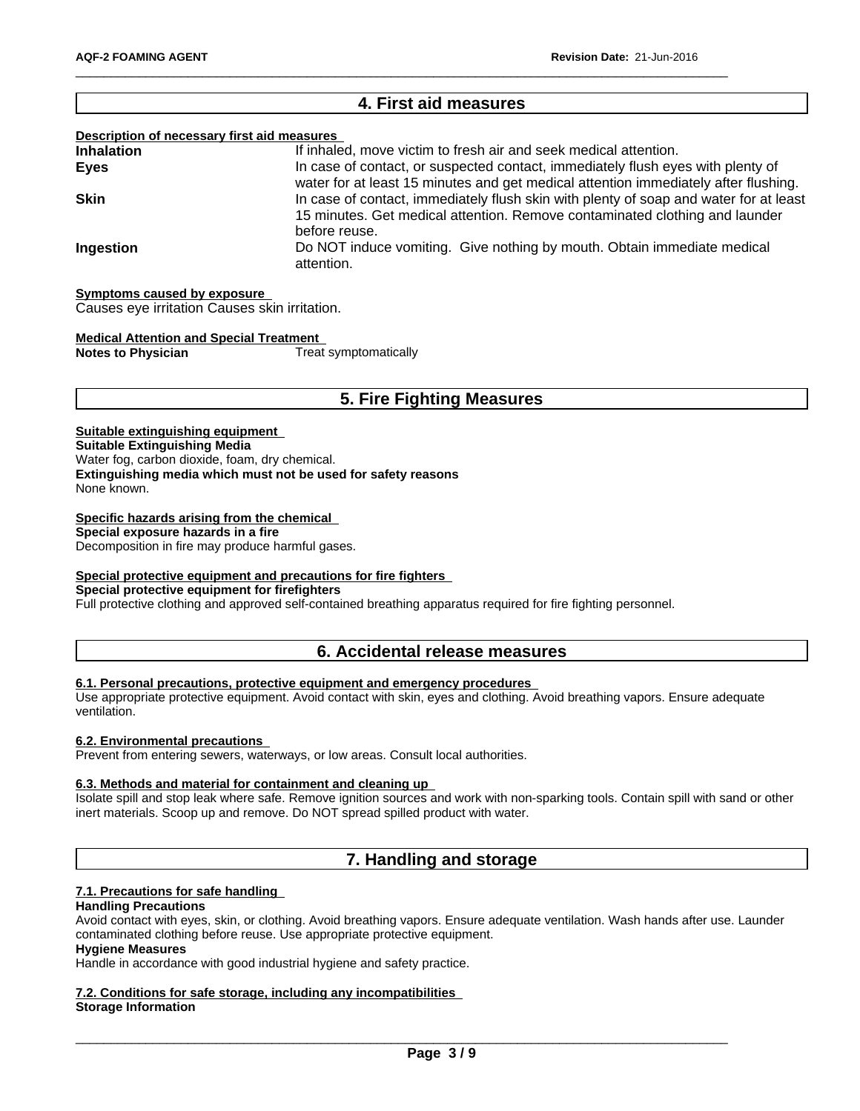# **4. First aid measures Description of necessary first aid measures Inhalation** If inhaled, move victim to fresh air and seek medical attention. **Eyes In case of contact, or suspected contact, immediately flush eyes with plenty of** water for at least 15 minutes and get medical attention immediately after flushing. **Skin In case of contact, immediately flush skin with plenty of soap and water for at least** 15 minutes. Get medical attention. Remove contaminated clothing and launder before reuse. **Ingestion Do NOT** induce vomiting. Give nothing by mouth. Obtain immediate medical attention.

#### **Symptoms caused by exposure**

Causes eye irritation Causes skin irritation.

#### **Medical Attention and Special Treatment**

**Notes to Physician** Treat symptomatically

# **5. Fire Fighting Measures**

## **Suitable extinguishing equipment**

**Suitable Extinguishing Media**

Water fog, carbon dioxide, foam, dry chemical.

**Extinguishing media which must not be used for safety reasons**

None known.

## **Specific hazards arising from the chemical**

**Special exposure hazards in a fire**

Decomposition in fire may produce harmful gases.

# **Special protective equipment and precautions for fire fighters**

**Special protective equipment for firefighters**

Full protective clothing and approved self-contained breathing apparatus required for fire fighting personnel.

# **6. Accidental release measures**

# **6.1. Personal precautions, protective equipment and emergency procedures**

Use appropriate protective equipment. Avoid contact with skin, eyes and clothing. Avoid breathing vapors. Ensure adequate ventilation.

### **6.2. Environmental precautions**

Prevent from entering sewers, waterways, or low areas. Consult local authorities.

#### **6.3. Methods and material for containment and cleaning up**

Isolate spill and stop leak where safe. Remove ignition sources and work with non-sparking tools. Contain spill with sand or other inert materials. Scoop up and remove. Do NOT spread spilled product with water.

# **7. Handling and storage**

#### **7.1. Precautions for safe handling**

#### **Handling Precautions**

Avoid contact with eyes, skin, or clothing. Avoid breathing vapors. Ensure adequate ventilation. Wash hands after use. Launder contaminated clothing before reuse. Use appropriate protective equipment.

# **Hygiene Measures**

Handle in accordance with good industrial hygiene and safety practice.

#### **7.2. Conditions for safe storage, including any incompatibilities Storage Information**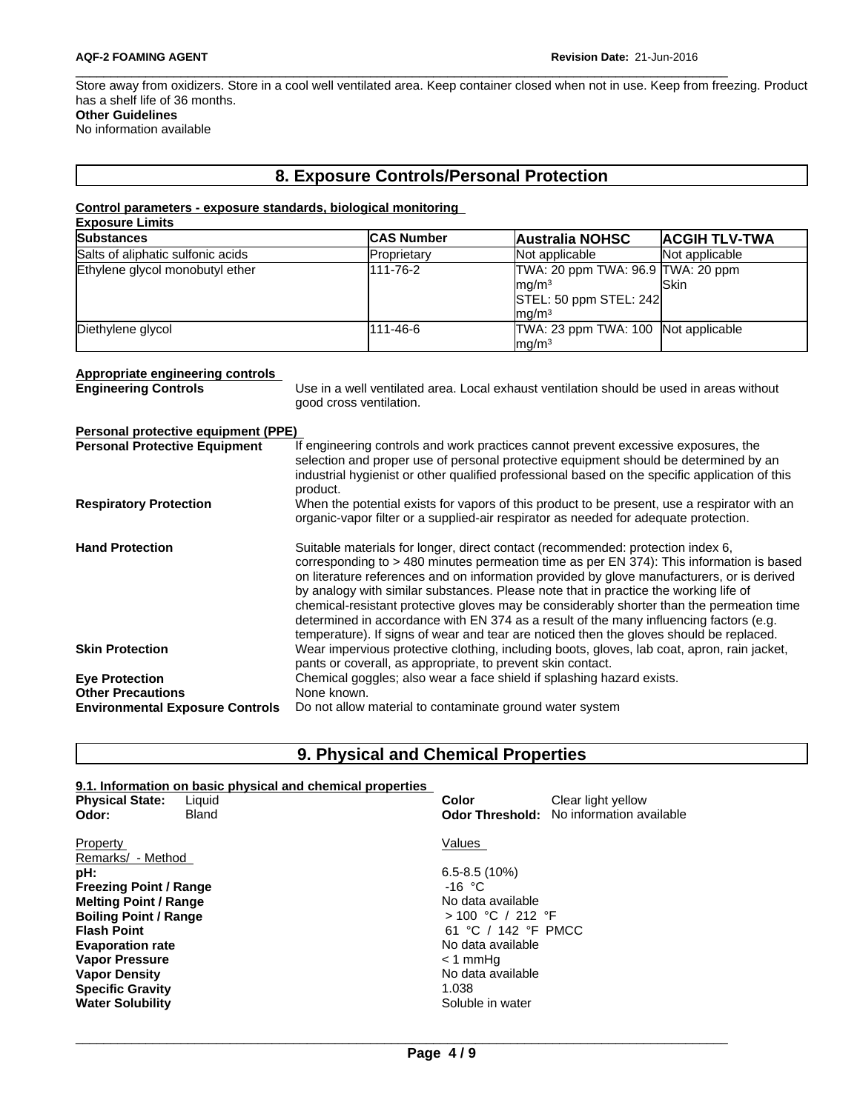Store away from oxidizers. Store in a cool well ventilated area. Keep container closed when not in use. Keep from freezing. Product has a shelf life of 36 months. **Other Guidelines**

No information available

# **8. Exposure Controls/Personal Protection**

#### **Control parameters - exposure standards, biological monitoring Exposure Limits**

| <b>EXPOSURE LITTINS</b>           |                   |                                                                                                                       |                      |
|-----------------------------------|-------------------|-----------------------------------------------------------------------------------------------------------------------|----------------------|
| Substances                        | <b>CAS Number</b> | <b>Australia NOHSC</b>                                                                                                | <b>ACGIH TLV-TWA</b> |
| Salts of aliphatic sulfonic acids | Proprietary       | Not applicable                                                                                                        | Not applicable       |
| Ethylene glycol monobutyl ether   | 111-76-2          | TWA: 20 ppm TWA: 96.9 TWA: 20 ppm<br>ma/m <sup>3</sup><br>$\vert$ STEL: 50 ppm STEL: 242 $\vert$<br>ma/m <sup>3</sup> | lSkin                |
| Diethylene glycol                 | 111-46-6          | TWA: 23 ppm TWA: 100 Not applicable<br>mq/m <sup>3</sup>                                                              |                      |

# **Appropriate engineering controls**

Use in a well ventilated area. Local exhaust ventilation should be used in areas without good cross ventilation.

| Personal protective equipment (PPE)    |                                                                                                                                                                                                                                                                                                                                                                                                                                                                                                                                                                                                                                                     |
|----------------------------------------|-----------------------------------------------------------------------------------------------------------------------------------------------------------------------------------------------------------------------------------------------------------------------------------------------------------------------------------------------------------------------------------------------------------------------------------------------------------------------------------------------------------------------------------------------------------------------------------------------------------------------------------------------------|
| <b>Personal Protective Equipment</b>   | If engineering controls and work practices cannot prevent excessive exposures, the<br>selection and proper use of personal protective equipment should be determined by an<br>industrial hygienist or other qualified professional based on the specific application of this<br>product.                                                                                                                                                                                                                                                                                                                                                            |
| <b>Respiratory Protection</b>          | When the potential exists for vapors of this product to be present, use a respirator with an<br>organic-vapor filter or a supplied-air respirator as needed for adequate protection.                                                                                                                                                                                                                                                                                                                                                                                                                                                                |
| <b>Hand Protection</b>                 | Suitable materials for longer, direct contact (recommended: protection index 6,<br>corresponding to > 480 minutes permeation time as per EN 374): This information is based<br>on literature references and on information provided by glove manufacturers, or is derived<br>by analogy with similar substances. Please note that in practice the working life of<br>chemical-resistant protective gloves may be considerably shorter than the permeation time<br>determined in accordance with EN 374 as a result of the many influencing factors (e.g.<br>temperature). If signs of wear and tear are noticed then the gloves should be replaced. |
| <b>Skin Protection</b>                 | Wear impervious protective clothing, including boots, gloves, lab coat, apron, rain jacket,<br>pants or coverall, as appropriate, to prevent skin contact.                                                                                                                                                                                                                                                                                                                                                                                                                                                                                          |
| <b>Eye Protection</b>                  | Chemical goggles; also wear a face shield if splashing hazard exists.                                                                                                                                                                                                                                                                                                                                                                                                                                                                                                                                                                               |
| <b>Other Precautions</b>               | None known.                                                                                                                                                                                                                                                                                                                                                                                                                                                                                                                                                                                                                                         |
| <b>Environmental Exposure Controls</b> | Do not allow material to contaminate ground water system                                                                                                                                                                                                                                                                                                                                                                                                                                                                                                                                                                                            |

**9. Physical and Chemical Properties**

|                               | 9.1. Information on basic physical and chemical properties |                        |                          |
|-------------------------------|------------------------------------------------------------|------------------------|--------------------------|
| <b>Physical State:</b>        | Liquid                                                     | Color                  | Clear light yellow       |
| Odor:                         | <b>Bland</b>                                               | <b>Odor Threshold:</b> | No information available |
| Property                      |                                                            | Values                 |                          |
| Remarks/ - Method             |                                                            |                        |                          |
| pH:                           |                                                            | $6.5 - 8.5(10%)$       |                          |
| <b>Freezing Point / Range</b> |                                                            | $-16 °C$               |                          |
| <b>Melting Point / Range</b>  |                                                            | No data available      |                          |
| <b>Boiling Point / Range</b>  |                                                            | $> 100$ °C / 212 °F    |                          |
| <b>Flash Point</b>            |                                                            | 61 °C / 142 °F PMCC    |                          |
| <b>Evaporation rate</b>       |                                                            | No data available      |                          |
| <b>Vapor Pressure</b>         |                                                            | < 1 mmHq               |                          |
| <b>Vapor Density</b>          |                                                            | No data available      |                          |
| <b>Specific Gravity</b>       |                                                            | 1.038                  |                          |
| <b>Water Solubility</b>       |                                                            | Soluble in water       |                          |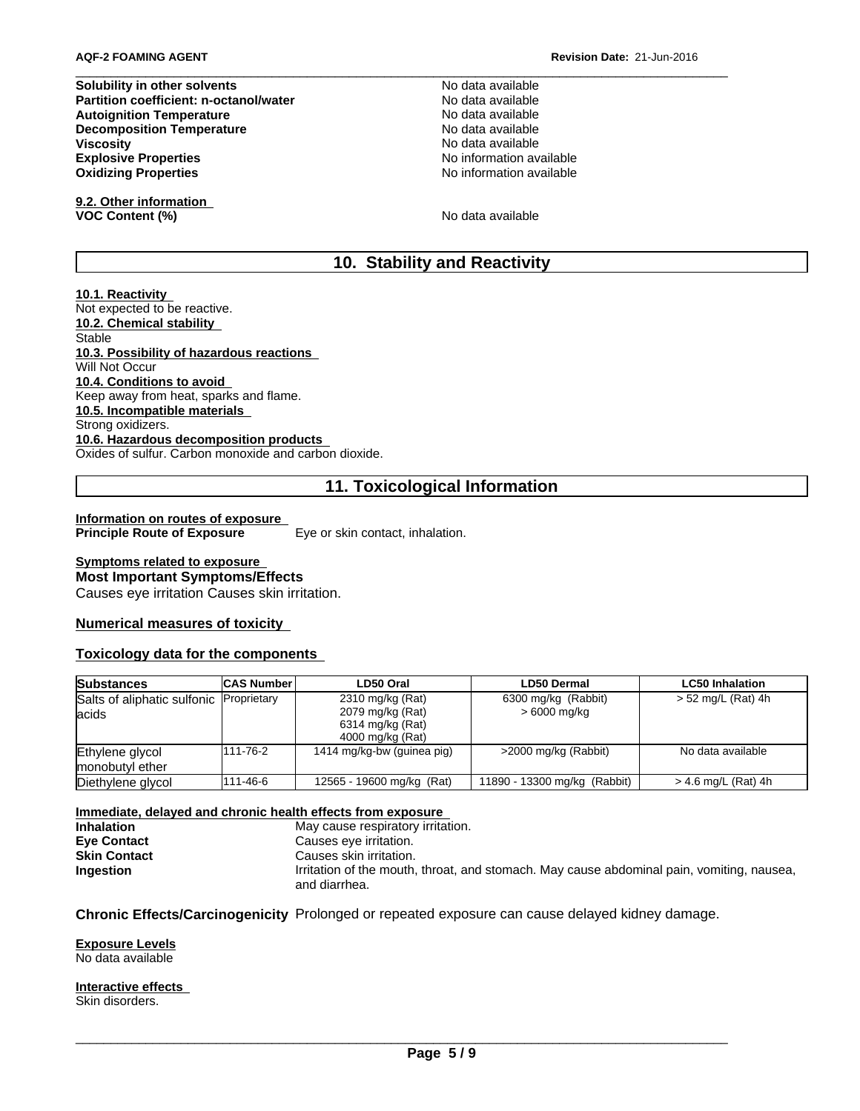**Solubility in other solvents**<br> **Partition coefficient: n-octanol/water** No data available<br>
No data available **Partition coefficient: n-octanol/water Autoignition Temperature No data available** No data available **Decomposition Temperature No data available** No data available **Viscosity No data available No data available No data available Explosive Properties**<br> **Explosive Properties**<br> **Oxidizing Properties**<br> **Oxidizing Properties Oxidizing Properties** 

**9.2. Other information VOC Content (%)** No data available

# **10. Stability and Reactivity**

#### **10.1. Reactivity**

Not expected to be reactive. **10.2. Chemical stability** Stable **10.3. Possibility of hazardous reactions** Will Not Occur **10.4. Conditions to avoid** Keep away from heat, sparks and flame. **10.5. Incompatible materials** Strong oxidizers. **10.6. Hazardous decomposition products** Oxides of sulfur. Carbon monoxide and carbon dioxide.

# **11. Toxicological Information**

**Information on routes of exposure Principle Route of Exposure** Eye or skin contact, inhalation.

# **Symptoms related to exposure Most Important Symptoms/Effects**

Causes eye irritation Causes skin irritation.

# **Numerical measures of toxicity**

# **Toxicology data for the components**

| <b>Substances</b>                                 | <b>CAS Number</b> | LD50 Oral                                                                    | <b>LD50 Dermal</b>                  | <b>LC50 Inhalation</b> |
|---------------------------------------------------|-------------------|------------------------------------------------------------------------------|-------------------------------------|------------------------|
| Salts of aliphatic sulfonic Proprietary<br>lacids |                   | 2310 mg/kg (Rat)<br>2079 mg/kg (Rat)<br>6314 mg/kg (Rat)<br>4000 mg/kg (Rat) | 6300 mg/kg (Rabbit)<br>> 6000 mg/kg | $> 52$ mg/L (Rat) 4h   |
| Ethylene glycol<br>monobutyl ether                | 111-76-2          | 1414 mg/kg-bw (guinea pig)                                                   | >2000 mg/kg (Rabbit)                | No data available      |
| Diethylene glycol                                 | 111-46-6          | 12565 - 19600 mg/kg (Rat)                                                    | 11890 - 13300 mg/kg (Rabbit)        | > 4.6 mg/L (Rat) 4h    |

**Immediate, delayed and chronic health effects from exposure Inhalation**<br> **Eve Contact**<br> **Eve Contact**<br> **Eve Contact**<br> **Eve Contact Eye Contact** Causes eye irritation.<br> **Skin Contact** Causes skin irritation. **Causes skin irritation. Ingestion Interface Interface Interface Irritation of the mouth, throat, and stomach. May cause abdominal pain, vomiting, nausea,** and diarrhea.

**Chronic Effects/Carcinogenicity** Prolonged or repeated exposure can cause delayed kidney damage.

**Exposure Levels**

No data available

**Interactive effects**

Skin disorders.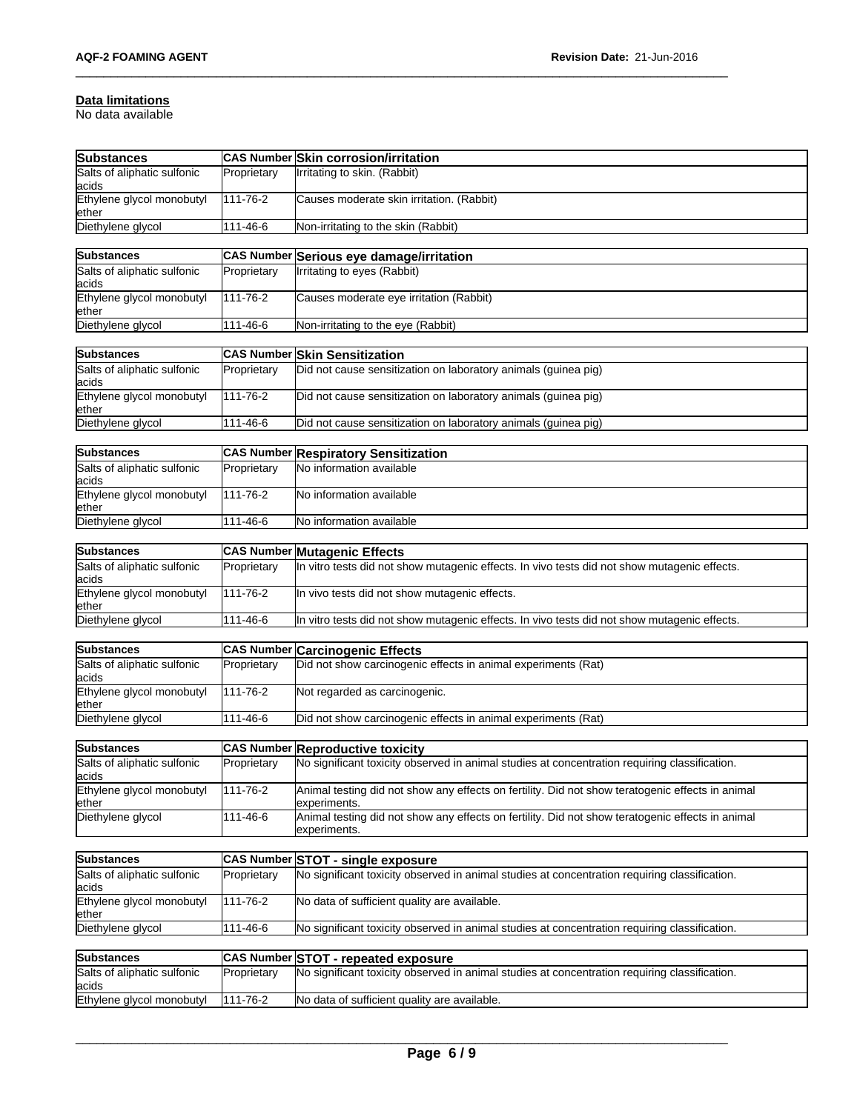#### **Data limitations**

No data available

| <b>Substances</b>                     |                   | CAS Number Skin corrosion/irritation                                                                             |
|---------------------------------------|-------------------|------------------------------------------------------------------------------------------------------------------|
| Salts of aliphatic sulfonic<br>acids  | Proprietary       | Irritating to skin. (Rabbit)                                                                                     |
| Ethylene glycol monobutyl<br>ether    | 111-76-2          | Causes moderate skin irritation. (Rabbit)                                                                        |
| Diethylene glycol                     | 111-46-6          | Non-irritating to the skin (Rabbit)                                                                              |
|                                       |                   |                                                                                                                  |
| <b>Substances</b>                     | <b>CAS Number</b> | Serious eye damage/irritation                                                                                    |
| Salts of aliphatic sulfonic<br>acids  | Proprietary       | Irritating to eyes (Rabbit)                                                                                      |
| Ethylene glycol monobutyl<br>ether    | 111-76-2          | Causes moderate eye irritation (Rabbit)                                                                          |
| Diethylene glycol                     | 111-46-6          | Non-irritating to the eye (Rabbit)                                                                               |
|                                       |                   |                                                                                                                  |
| Substances                            |                   | <b>CAS Number Skin Sensitization</b>                                                                             |
| Salts of aliphatic sulfonic<br>acids  | Proprietary       | Did not cause sensitization on laboratory animals (guinea pig)                                                   |
| Ethylene glycol monobutyl<br>ether    | 111-76-2          | Did not cause sensitization on laboratory animals (guinea pig)                                                   |
| Diethylene glycol                     | 111-46-6          | Did not cause sensitization on laboratory animals (guinea pig)                                                   |
|                                       |                   |                                                                                                                  |
| <b>Substances</b>                     | <b>CAS Number</b> | <b>Respiratory Sensitization</b>                                                                                 |
| Salts of aliphatic sulfonic<br>lacids | Proprietary       | No information available                                                                                         |
| Ethylene glycol monobutyl<br>ether    | 111-76-2          | No information available                                                                                         |
| Diethylene glycol                     | 111-46-6          | No information available                                                                                         |
| <b>Substances</b>                     | <b>CAS Number</b> | <b>Mutagenic Effects</b>                                                                                         |
| Salts of aliphatic sulfonic           | Proprietary       | In vitro tests did not show mutagenic effects. In vivo tests did not show mutagenic effects.                     |
| acids<br>Ethylene glycol monobutyl    | 111-76-2          | In vivo tests did not show mutagenic effects.                                                                    |
| ether<br>Diethylene glycol            | 111-46-6          | In vitro tests did not show mutagenic effects. In vivo tests did not show mutagenic effects.                     |
|                                       |                   |                                                                                                                  |
| <b>Substances</b>                     | <b>CAS Number</b> | <b>Carcinogenic Effects</b>                                                                                      |
| Salts of aliphatic sulfonic<br>acids  | Proprietary       | Did not show carcinogenic effects in animal experiments (Rat)                                                    |
| Ethylene glycol monobutyl<br>ether    | 111-76-2          | Not regarded as carcinogenic.                                                                                    |
| Diethylene glycol                     | 111-46-6          | Did not show carcinogenic effects in animal experiments (Rat)                                                    |
| <b>Substances</b>                     |                   | <b>CAS Number Reproductive toxicity</b>                                                                          |
| Salts of aliphatic sulfonic           | Proprietary       | No significant toxicity observed in animal studies at concentration requiring classification.                    |
| lacids                                |                   |                                                                                                                  |
| Ethylene glycol monobutyl<br>ether    | 111-76-2          | Animal testing did not show any effects on fertility. Did not show teratogenic effects in animal<br>experiments. |
| Diethylene glycol                     | 111-46-6          | Animal testing did not show any effects on fertility. Did not show teratogenic effects in animal<br>experiments. |
|                                       |                   |                                                                                                                  |
| <b>Substances</b>                     |                   | CAS Number STOT - single exposure                                                                                |
| Salts of aliphatic sulfonic<br>acids  | Proprietary       | No significant toxicity observed in animal studies at concentration requiring classification.                    |
| Ethylene glycol monobutyl<br>ether    | 111-76-2          | No data of sufficient quality are available.                                                                     |
| Diethylene glycol                     | 111-46-6          | No significant toxicity observed in animal studies at concentration requiring classification.                    |
| Substances                            |                   | CAS Number STOT - repeated exposure                                                                              |
| Salts of aliphatic sulfonic           | Proprietary       | No significant toxicity observed in animal studies at concentration requiring classification.                    |
| acids                                 |                   |                                                                                                                  |
| Ethylene glycol monobutyl             | 111-76-2          | No data of sufficient quality are available.                                                                     |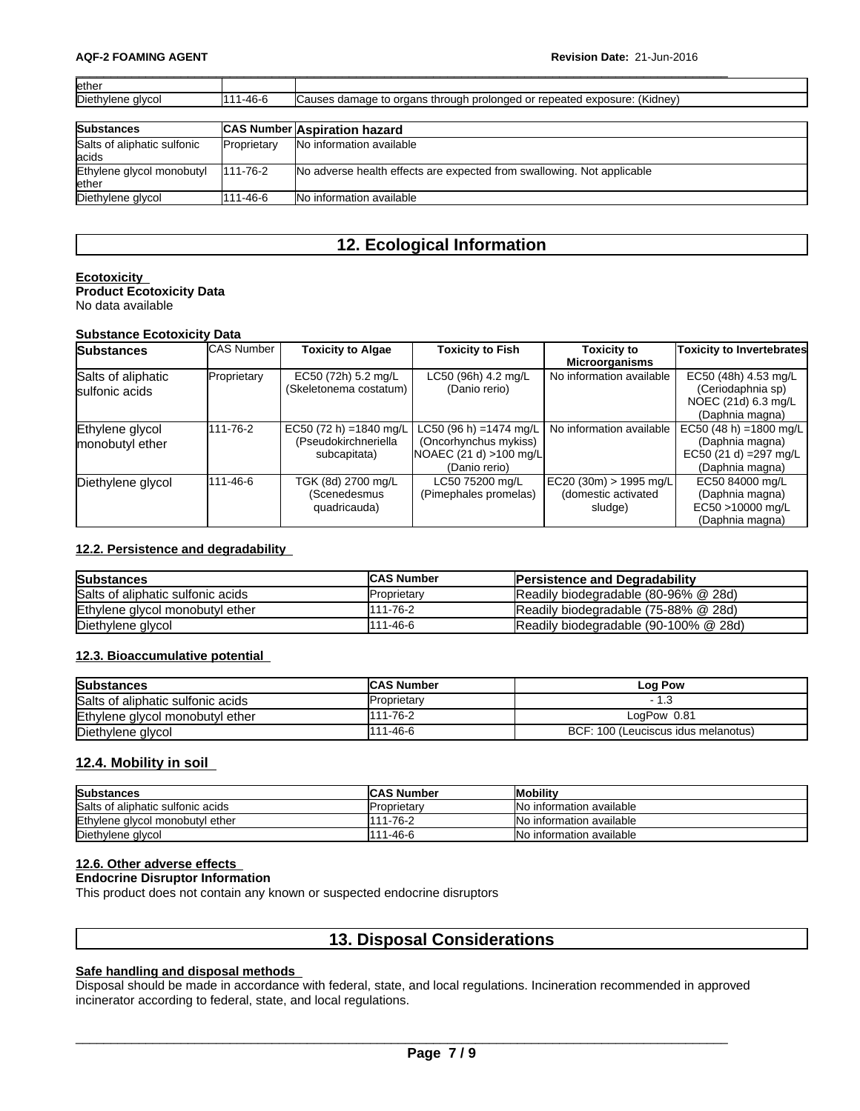| lether                                |             |                                                                          |
|---------------------------------------|-------------|--------------------------------------------------------------------------|
| Diethylene glycol                     | 111-46-6    | Causes damage to organs through prolonged or repeated exposure: (Kidney) |
|                                       |             |                                                                          |
| <b>Substances</b>                     |             | CAS Number Aspiration hazard                                             |
| Salts of aliphatic sulfonic<br>lacids | Proprietary | No information available                                                 |
| Ethylene glycol monobutyl             | 111-76-2    | No adverse health effects are expected from swallowing. Not applicable   |
| lether                                |             |                                                                          |
| Diethylene glycol                     | 111-46-6    | No information available                                                 |

# **12. Ecological Information**

#### **Ecotoxicity Product Ecotoxicity Data**

No data available

### **Substance Ecotoxicity Data**

| <b>Substances</b>                    | <b>CAS Number</b> | <b>Toxicity to Algae</b>                                        | <b>Toxicity to Fish</b>                                                                     | <b>Toxicity to</b><br><b>Microorganisms</b>               | <b>Toxicity to Invertebrates</b>                                                        |
|--------------------------------------|-------------------|-----------------------------------------------------------------|---------------------------------------------------------------------------------------------|-----------------------------------------------------------|-----------------------------------------------------------------------------------------|
| Salts of aliphatic<br>sulfonic acids | Proprietary       | EC50 (72h) 5.2 mg/L<br>(Skeletonema costatum)                   | LC50 (96h) 4.2 mg/L<br>(Danio rerio)                                                        | No information available                                  | EC50 (48h) 4.53 mg/L<br>(Ceriodaphnia sp)<br>NOEC (21d) 6.3 mg/L<br>(Daphnia magna)     |
| Ethylene glycol<br>monobutyl ether   | 111-76-2          | EC50 (72 h) = 1840 mg/L<br>(Pseudokirchneriella<br>subcapitata) | LC50 (96 h) =1474 mg/L<br>(Oncorhynchus mykiss)<br>NOAEC (21 d) > 100 mg/L<br>(Danio rerio) | No information available                                  | EC50 (48 h) = 1800 mg/L<br>(Daphnia magna)<br>EC50 (21 d) = 297 mg/L<br>(Daphnia magna) |
| Diethylene glycol                    | 111-46-6          | TGK (8d) 2700 mg/L<br>(Scenedesmus<br>quadricauda)              | LC50 75200 mg/L<br>(Pimephales promelas)                                                    | EC20 (30m) > 1995 mg/L <br>(domestic activated<br>sludge) | EC50 84000 mg/L<br>(Daphnia magna)<br>EC50 >10000 mg/L<br>(Daphnia magna)               |

## **12.2. Persistence and degradability**

| <b>Substances</b>                 | <b>ICAS Number</b> | <b>Persistence and Degradability</b>  |
|-----------------------------------|--------------------|---------------------------------------|
| Salts of aliphatic sulfonic acids | Proprietary        | Readily biodegradable (80-96% @ 28d)  |
| Ethylene glycol monobutyl ether   | 111-76-2           | Readily biodegradable (75-88% @ 28d)  |
| Diethylene glycol                 | 11-46-6            | Readily biodegradable (90-100% @ 28d) |

# **12.3. Bioaccumulative potential**

| <b>Substances</b>                 | <b>CAS Number</b>   | Log Pow                             |
|-----------------------------------|---------------------|-------------------------------------|
| Salts of aliphatic sulfonic acids | <b>IProprietarv</b> |                                     |
| Ethylene glycol monobutyl ether   | 111-76-2            | LogPow 0.81                         |
| Diethylene glycol                 | 111-46-6            | BCF: 100 (Leuciscus idus melanotus) |

## **12.4. Mobility in soil**

| <b>Substances</b>                 | <b>CAS Number</b> | <b>Mobility</b>           |
|-----------------------------------|-------------------|---------------------------|
| Salts of aliphatic sulfonic acids | IProprietarv      | No information available  |
| Ethylene glycol monobutyl ether   | 111-76-2          | No information available  |
| Diethylene glycol                 | 111-46-6          | INo information available |

## **12.6. Other adverse effects**

## **Endocrine Disruptor Information**

This product does not contain any known or suspected endocrine disruptors

# **13. Disposal Considerations**

# **Safe handling and disposal methods**

Disposal should be made in accordance with federal, state, and local regulations. Incineration recommended in approved incinerator according to federal, state, and local regulations.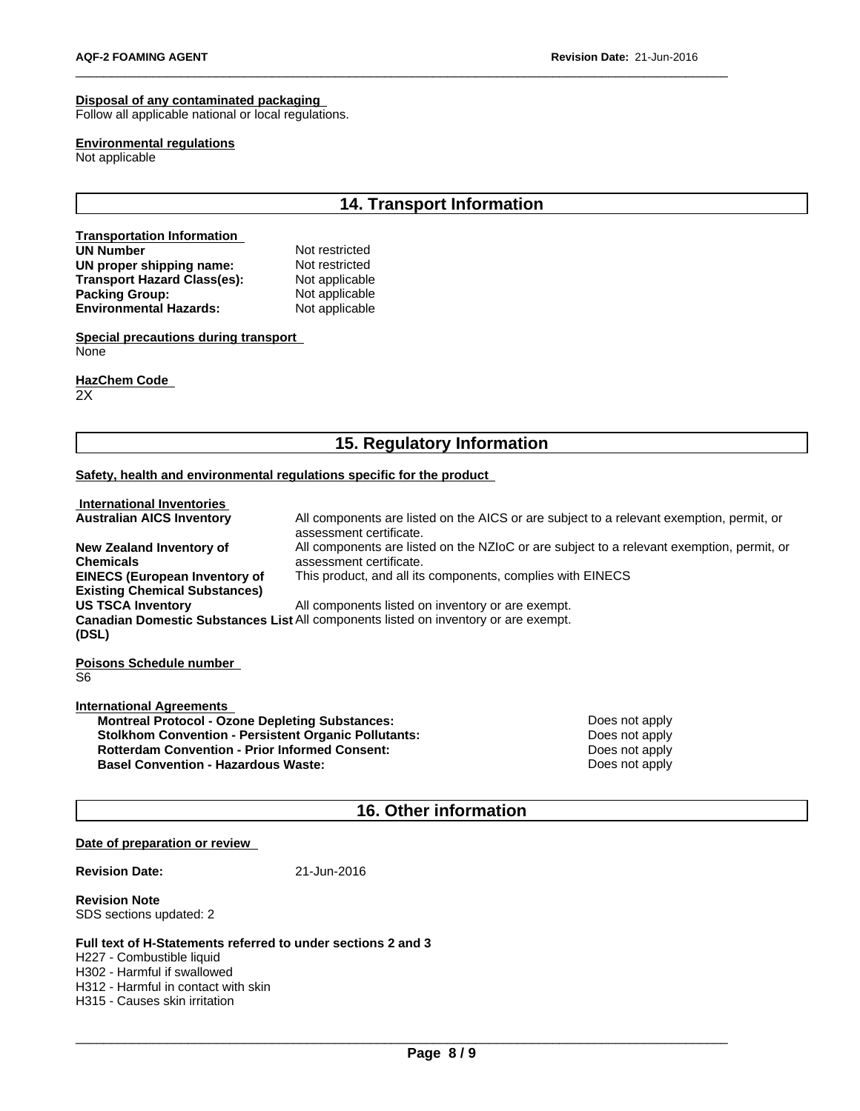## **Disposal of any contaminated packaging**

Follow all applicable national or local regulations.

#### **Environmental regulations**

Not applicable

# **14. Transport Information**

#### **Transportation Information**<br> **IJN Number**<br> **IJN Number UN Number** Not restricted<br> **UN proper shipping name:** Not restricted **UN** proper shipping name: Not restricted<br> **Transport Hazard Class(es):** Not applicable **Transport Hazard Class(es):** Not applicable<br> **Packing Group:** Not applicable **Packing Group:** Not applicable<br> **Environmental Hazards:** Not applicable **Environmental Hazards:**

**Special precautions during transport** None

**HazChem Code**  2X

# **15. Regulatory Information**

### **Safety, health and environmental regulations specific for the product**

| <b>International Inventories</b>                                                                    |                                                   |                                                                                           |
|-----------------------------------------------------------------------------------------------------|---------------------------------------------------|-------------------------------------------------------------------------------------------|
| <b>Australian AICS Inventory</b>                                                                    | assessment certificate.                           | All components are listed on the AICS or are subject to a relevant exemption, permit, or  |
| New Zealand Inventory of                                                                            |                                                   | All components are listed on the NZIoC or are subject to a relevant exemption, permit, or |
| Chemicals                                                                                           | assessment certificate.                           |                                                                                           |
| <b>EINECS (European Inventory of</b>                                                                |                                                   | This product, and all its components, complies with EINECS                                |
| <b>Existing Chemical Substances)</b>                                                                |                                                   |                                                                                           |
| <b>US TSCA Inventorv</b>                                                                            | All components listed on inventory or are exempt. |                                                                                           |
| <b>Canadian Domestic Substances List</b> All components listed on inventory or are exempt.<br>(DSL) |                                                   |                                                                                           |
| Poisons Schedule number                                                                             |                                                   |                                                                                           |
| S6                                                                                                  |                                                   |                                                                                           |
| <b>International Agreements</b>                                                                     |                                                   |                                                                                           |
| Montroal Protocol - Ozono Doploting Substances:                                                     |                                                   | Doge not apply                                                                            |

**Montreal Protocol - Ozone Depleting Substances:** Does not apply **Does not apply Stolkhom Convention - Persistent Organic Pollutants:** Does not apply **Rotterdam Convention - Prior Informed Consent:**<br> **Basel Convention - Hazardous Waste:** Does not apply<br>
Does not apply **Basel Convention - Hazardous Waste:** 

# **16. Other information**

#### **Date of preparation or review**

**Revision Date:** 21-Jun-2016

**Revision Note** SDS sections updated: 2

#### **Full text of H-Statements referred to undersections 2 and 3**

H227 - Combustible liquid H302 - Harmful if swallowed H312 - Harmful in contact with skin H315 - Causes skin irritation